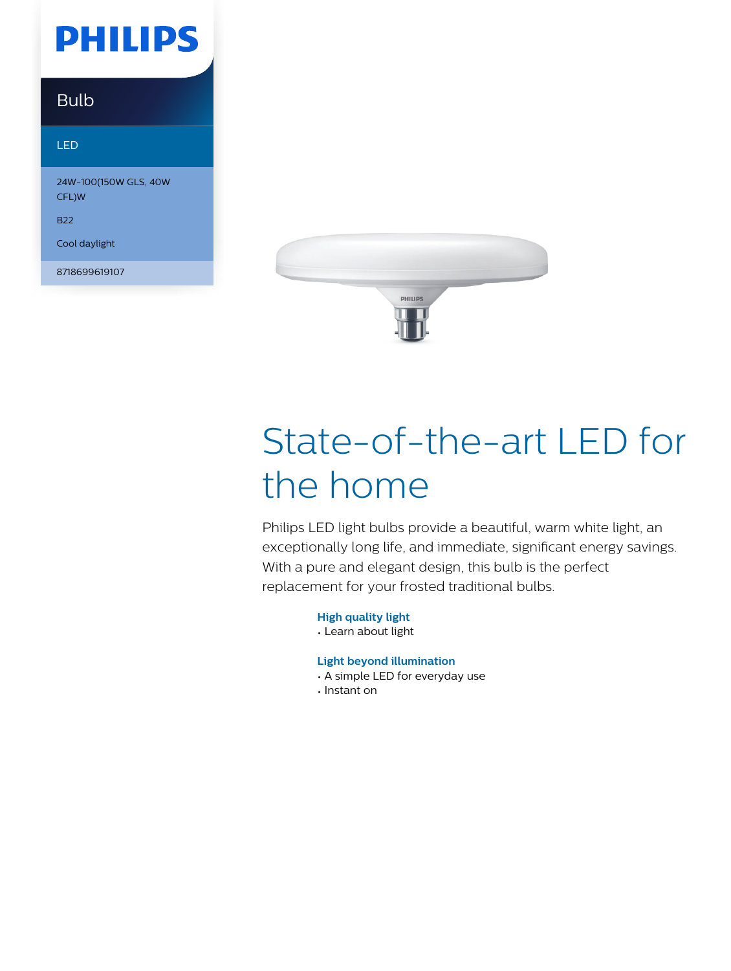## **PHILIPS**

### Bulb

#### LED

24W-100(150W GLS, 40W CFL)W

B22

Cool daylight

8718699619107



# State-of-the-art LED for the home

Philips LED light bulbs provide a beautiful, warm white light, an exceptionally long life, and immediate, significant energy savings. With a pure and elegant design, this bulb is the perfect replacement for your frosted traditional bulbs.

**High quality light**

• Learn about light

#### **Light beyond illumination**

- A simple LED for everyday use
- Instant on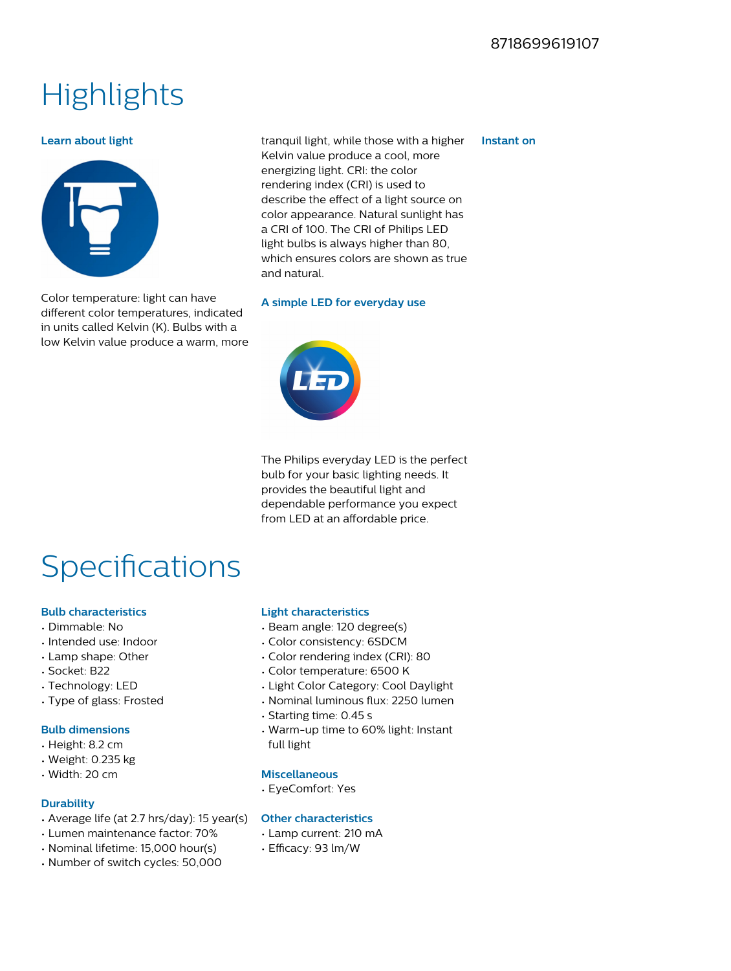### **Highlights**

#### **Learn about light**



Color temperature: light can have different color temperatures, indicated in units called Kelvin (K). Bulbs with a low Kelvin value produce a warm, more tranquil light, while those with a higher Kelvin value produce a cool, more energizing light. CRI: the color rendering index (CRI) is used to describe the effect of a light source on color appearance. Natural sunlight has a CRI of 100. The CRI of Philips LED light bulbs is always higher than 80, which ensures colors are shown as true and natural.

#### **A simple LED for everyday use**



The Philips everyday LED is the perfect bulb for your basic lighting needs. It provides the beautiful light and dependable performance you expect from LED at an affordable price.

## Specifications

#### **Bulb characteristics**

- Dimmable: No
- Intended use: Indoor
- Lamp shape: Other
- Socket: B22
- Technology: LED
- Type of glass: Frosted

#### **Bulb dimensions**

- Height: 8.2 cm
- Weight: 0.235 kg
- Width: 20 cm

#### **Durability**

- Average life (at 2.7 hrs/day): 15 year(s)
- Lumen maintenance factor: 70%
- Nominal lifetime: 15,000 hour(s)
- Number of switch cycles: 50,000

#### **Light characteristics**

- Beam angle: 120 degree(s)
- Color consistency: 6SDCM
- Color rendering index (CRI): 80
- Color temperature: 6500 K
- Light Color Category: Cool Daylight
- Nominal luminous flux: 2250 lumen
- Starting time: 0.45 s
- Warm-up time to 60% light: Instant full light

#### **Miscellaneous**

• EyeComfort: Yes

#### **Other characteristics**

- Lamp current: 210 mA
- Efficacy: 93 lm/W

#### **Instant on**